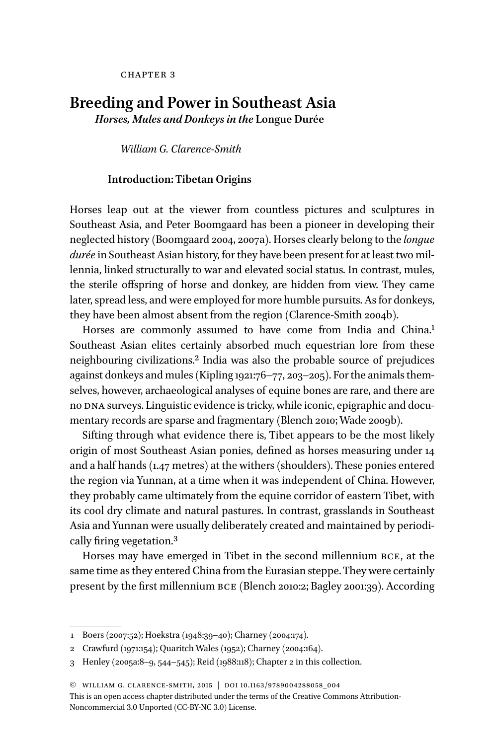**CHAPTER 3** 

# **Breeding and Power in Southeast Asia**

*Horses, Mules and Donkeys in the* **Longue Durée**

*William G. Clarence-Smith*

## **Introduction: Tibetan Origins**

Horses leap out at the viewer from countless pictures and sculptures in Southeast Asia, and Peter Boomgaard has been a pioneer in developing their neglected history (Boomgaard 2004, 2007a). Horses clearly belong to the *longue durée* in Southeast Asian history, for they have been present for at least two millennia, linked structurally to war and elevated social status. In contrast, mules, the sterile offspring of horse and donkey, are hidden from view. They came later, spread less, and were employed for more humble pursuits. As for donkeys, they have been almost absent from the region (Clarence-Smith 2004b).

Horses are commonly assumed to have come from India and China.<sup>1</sup> Southeast Asian elites certainly absorbed much equestrian lore from these neighbouring civilizations.2 India was also the probable source of prejudices against donkeys and mules (Kipling 1921:76–77, 203–205). For the animals themselves, however, archaeological analyses of equine bones are rare, and there are no DNA surveys. Linguistic evidence is tricky, while iconic, epigraphic and documentary records are sparse and fragmentary (Blench 2010; Wade 2009b).

Sifting through what evidence there is, Tibet appears to be the most likely origin of most Southeast Asian ponies, defined as horses measuring under 14 and a half hands (1.47 metres) at the withers (shoulders). These ponies entered the region via Yunnan, at a time when it was independent of China. However, they probably came ultimately from the equine corridor of eastern Tibet, with its cool dry climate and natural pastures. In contrast, grasslands in Southeast Asia and Yunnan were usually deliberately created and maintained by periodically firing vegetation.3

Horses may have emerged in Tibet in the second millennium bce, at the same time as they entered China from the Eurasian steppe. They were certainly present by the first millennium bce (Blench 2010:2; Bagley 2001:39). According

<sup>1</sup> Boers (2007:52); Hoekstra (1948:39–40); Charney (2004:174).

<sup>2</sup> Crawfurd (1971:154); Quaritch Wales (1952); Charney (2004:164).

<sup>3</sup> Henley (2005a:8–9, 544–545); Reid (1988:118); Chapter 2 in this collection.

<sup>©</sup> william g. clarence-smith, 2015 | doi 10.1163/9789004288058\_004

This is an open access chapter distributed under the terms of the [Creative Commons Attribution-](http://creativecommons.org/licenses/by-nc/3.0/)[Noncommercial 3.0 Unported \(CC-BY-NC 3.0\) License](http://creativecommons.org/licenses/by-nc/3.0/).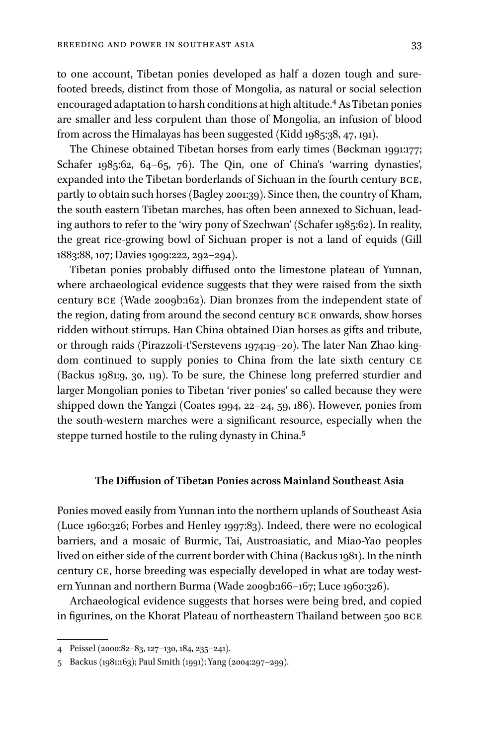to one account, Tibetan ponies developed as half a dozen tough and surefooted breeds, distinct from those of Mongolia, as natural or social selection encouraged adaptation to harsh conditions at high altitude.<sup>4</sup> As Tibetan ponies are smaller and less corpulent than those of Mongolia, an infusion of blood from across the Himalayas has been suggested (Kidd 1985:38, 47, 191).

The Chinese obtained Tibetan horses from early times (Bøckman 1991:177; Schafer 1985:62, 64–65, 76). The Qin, one of China's 'warring dynasties', expanded into the Tibetan borderlands of Sichuan in the fourth century bce, partly to obtain such horses (Bagley 2001:39). Since then, the country of Kham, the south eastern Tibetan marches, has often been annexed to Sichuan, leading authors to refer to the 'wiry pony of Szechwan' (Schafer 1985:62). In reality, the great rice-growing bowl of Sichuan proper is not a land of equids (Gill 1883:88, 107; Davies 1909:222, 292–294).

Tibetan ponies probably diffused onto the limestone plateau of Yunnan, where archaeological evidence suggests that they were raised from the sixth century bce (Wade 2009b:162). Dian bronzes from the independent state of the region, dating from around the second century bce onwards, show horses ridden without stirrups. Han China obtained Dian horses as gifts and tribute, or through raids (Pirazzoli-t'Serstevens 1974:19–20). The later Nan Zhao kingdom continued to supply ponies to China from the late sixth century ce (Backus 1981:9, 30, 119). To be sure, the Chinese long preferred sturdier and larger Mongolian ponies to Tibetan 'river ponies' so called because they were shipped down the Yangzi (Coates 1994, 22–24, 59, 186). However, ponies from the south-western marches were a significant resource, especially when the steppe turned hostile to the ruling dynasty in China.<sup>5</sup>

## **The Diffusion of Tibetan Ponies across Mainland Southeast Asia**

Ponies moved easily from Yunnan into the northern uplands of Southeast Asia (Luce 1960:326; Forbes and Henley 1997:83). Indeed, there were no ecological barriers, and a mosaic of Burmic, Tai, Austroasiatic, and Miao-Yao peoples lived on either side of the current border with China (Backus 1981). In the ninth century ce, horse breeding was especially developed in what are today western Yunnan and northern Burma (Wade 2009b:166–167; Luce 1960:326).

Archaeological evidence suggests that horses were being bred, and copied in figurines, on the Khorat Plateau of northeastern Thailand between 500 bce

<sup>4</sup> Peissel (2000:82–83, 127–130, 184, 235–241).

<sup>5</sup> Backus (1981:163); Paul Smith (1991); Yang (2004:297–299).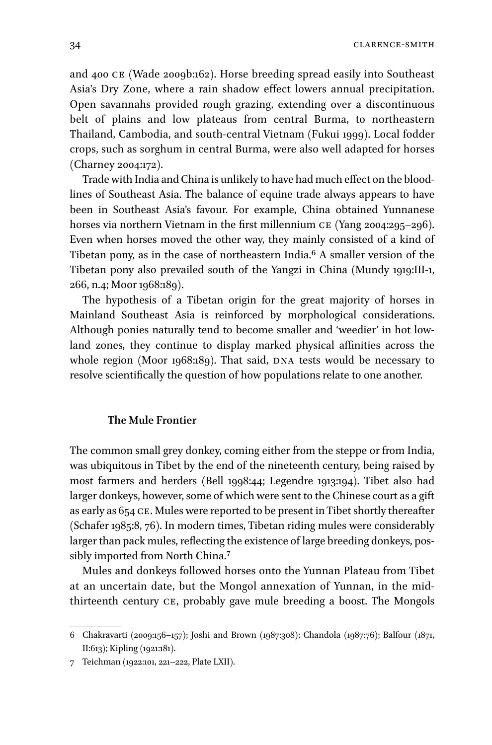and 400 ce (Wade 2009b:162). Horse breeding spread easily into Southeast Asia's Dry Zone, where a rain shadow effect lowers annual precipitation. Open savannahs provided rough grazing, extending over a discontinuous belt of plains and low plateaus from central Burma, to northeastern Thailand, Cambodia, and south-central Vietnam (Fukui 1999). Local fodder crops, such as sorghum in central Burma, were also well adapted for horses (Charney 2004:172).

Trade with India and China is unlikely to have had much effect on the bloodlines of Southeast Asia. The balance of equine trade always appears to have been in Southeast Asia's favour. For example, China obtained Yunnanese horses via northern Vietnam in the first millennium CE (Yang 2004:295-296). Even when horses moved the other way, they mainly consisted of a kind of Tibetan pony, as in the case of northeastern India.6 A smaller version of the Tibetan pony also prevailed south of the Yangzi in China (Mundy 1919:III-1, 266, n.4; Moor 1968:189).

The hypothesis of a Tibetan origin for the great majority of horses in Mainland Southeast Asia is reinforced by morphological considerations. Although ponies naturally tend to become smaller and 'weedier' in hot lowland zones, they continue to display marked physical affinities across the whole region (Moor 1968:189). That said, DNA tests would be necessary to resolve scientifically the question of how populations relate to one another.

## **The Mule Frontier**

The common small grey donkey, coming either from the steppe or from India, was ubiquitous in Tibet by the end of the nineteenth century, being raised by most farmers and herders (Bell 1998:44; Legendre 1913:194). Tibet also had larger donkeys, however, some of which were sent to the Chinese court as a gift as early as 654 ce. Mules were reported to be present in Tibet shortly thereafter (Schafer 1985:8, 76). In modern times, Tibetan riding mules were considerably larger than pack mules, reflecting the existence of large breeding donkeys, possibly imported from North China.7

Mules and donkeys followed horses onto the Yunnan Plateau from Tibet at an uncertain date, but the Mongol annexation of Yunnan, in the midthirteenth century ce, probably gave mule breeding a boost. The Mongols

<sup>6</sup> Chakravarti (2009:156–157); Joshi and Brown (1987:308); Chandola (1987:76); Balfour (1871, II:613); Kipling (1921:181).

<sup>7</sup> Teichman (1922:101, 221–222, Plate LXII).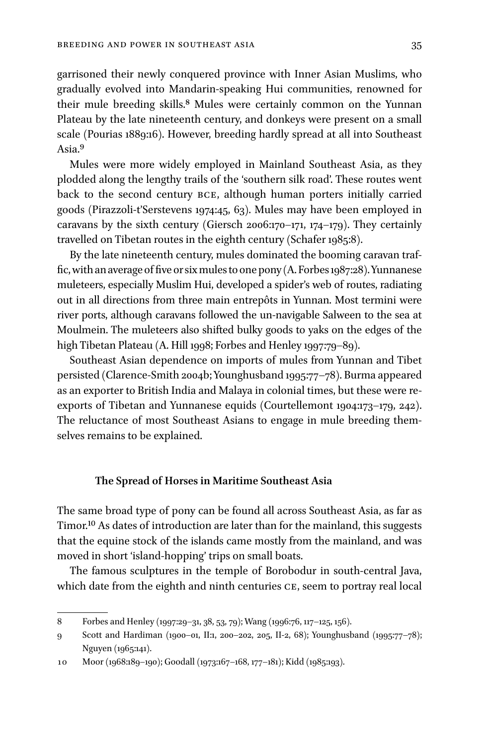garrisoned their newly conquered province with Inner Asian Muslims, who gradually evolved into Mandarin-speaking Hui communities, renowned for their mule breeding skills.<sup>8</sup> Mules were certainly common on the Yunnan Plateau by the late nineteenth century, and donkeys were present on a small scale (Pourias 1889:16). However, breeding hardly spread at all into Southeast Asia.9

Mules were more widely employed in Mainland Southeast Asia, as they plodded along the lengthy trails of the 'southern silk road'. These routes went back to the second century bce, although human porters initially carried goods (Pirazzoli-t'Serstevens 1974:45, 63). Mules may have been employed in caravans by the sixth century (Giersch 2006:170–171, 174–179). They certainly travelled on Tibetan routes in the eighth century (Schafer 1985:8).

By the late nineteenth century, mules dominated the booming caravan traffic, with an average of five or six mules to one pony (A. Forbes 1987:28). Yunnanese muleteers, especially Muslim Hui, developed a spider's web of routes, radiating out in all directions from three main entrepôts in Yunnan. Most termini were river ports, although caravans followed the un-navigable Salween to the sea at Moulmein. The muleteers also shifted bulky goods to yaks on the edges of the high Tibetan Plateau (A. Hill 1998; Forbes and Henley 1997:79-89).

Southeast Asian dependence on imports of mules from Yunnan and Tibet persisted (Clarence-Smith 2004b; Younghusband 1995:77–78). Burma appeared as an exporter to British India and Malaya in colonial times, but these were reexports of Tibetan and Yunnanese equids (Courtellemont 1904:173–179, 242). The reluctance of most Southeast Asians to engage in mule breeding themselves remains to be explained.

#### **The Spread of Horses in Maritime Southeast Asia**

The same broad type of pony can be found all across Southeast Asia, as far as Timor.<sup>10</sup> As dates of introduction are later than for the mainland, this suggests that the equine stock of the islands came mostly from the mainland, and was moved in short 'island-hopping' trips on small boats.

The famous sculptures in the temple of Borobodur in south-central Java, which date from the eighth and ninth centuries CE, seem to portray real local

<sup>8</sup> Forbes and Henley (1997:29–31, 38, 53, 79); Wang (1996:76, 117–125, 156).

<sup>9</sup> Scott and Hardiman (1900–01, II:1, 200–202, 205, II-2, 68); Younghusband (1995:77–78); Nguyen (1965:141).

<sup>10</sup> Moor (1968:189–190); Goodall (1973:167–168, 177–181); Kidd (1985:193).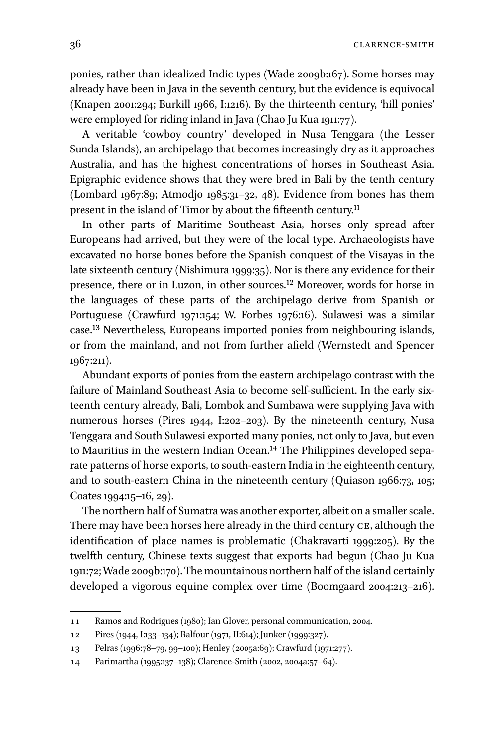ponies, rather than idealized Indic types (Wade 2009b:167). Some horses may already have been in Java in the seventh century, but the evidence is equivocal (Knapen 2001:294; Burkill 1966, I:1216). By the thirteenth century, 'hill ponies' were employed for riding inland in Java (Chao Ju Kua 1911:77).

A veritable 'cowboy country' developed in Nusa Tenggara (the Lesser Sunda Islands), an archipelago that becomes increasingly dry as it approaches Australia, and has the highest concentrations of horses in Southeast Asia. Epigraphic evidence shows that they were bred in Bali by the tenth century (Lombard 1967:89; Atmodjo 1985:31–32, 48). Evidence from bones has them present in the island of Timor by about the fifteenth century.11

In other parts of Maritime Southeast Asia, horses only spread after Europeans had arrived, but they were of the local type. Archaeologists have excavated no horse bones before the Spanish conquest of the Visayas in the late sixteenth century (Nishimura 1999:35). Nor is there any evidence for their presence, there or in Luzon, in other sources.12 Moreover, words for horse in the languages of these parts of the archipelago derive from Spanish or Portuguese (Crawfurd 1971:154; W. Forbes 1976:16). Sulawesi was a similar case.13 Nevertheless, Europeans imported ponies from neighbouring islands, or from the mainland, and not from further afield (Wernstedt and Spencer 1967:211).

Abundant exports of ponies from the eastern archipelago contrast with the failure of Mainland Southeast Asia to become self-sufficient. In the early sixteenth century already, Bali, Lombok and Sumbawa were supplying Java with numerous horses (Pires 1944, I:202–203). By the nineteenth century, Nusa Tenggara and South Sulawesi exported many ponies, not only to Java, but even to Mauritius in the western Indian Ocean.<sup>14</sup> The Philippines developed separate patterns of horse exports, to south-eastern India in the eighteenth century, and to south-eastern China in the nineteenth century (Quiason 1966:73, 105; Coates 1994:15–16, 29).

The northern half of Sumatra was another exporter, albeit on a smaller scale. There may have been horses here already in the third century CE, although the identification of place names is problematic (Chakravarti 1999:205). By the twelfth century, Chinese texts suggest that exports had begun (Chao Ju Kua 1911:72; Wade 2009b:170). The mountainous northern half of the island certainly developed a vigorous equine complex over time (Boomgaard 2004:213–216).

<sup>11</sup> Ramos and Rodrigues (1980); Ian Glover, personal communication, 2004.

<sup>12</sup> Pires (1944, I:133–134); Balfour (1971, II:614); Junker (1999:327).

<sup>13</sup> Pelras (1996:78–79, 99–100); Henley (2005a:69); Crawfurd (1971:277).

<sup>14</sup> Parimartha (1995:137–138); Clarence-Smith (2002, 2004a:57–64).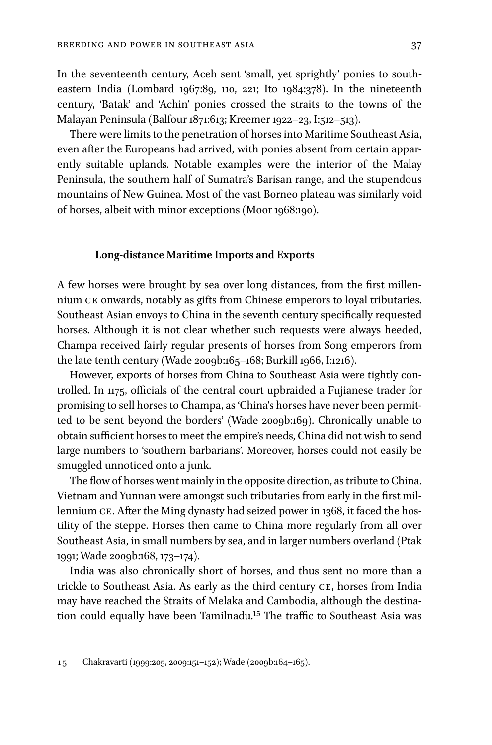In the seventeenth century, Aceh sent 'small, yet sprightly' ponies to southeastern India (Lombard 1967:89, 110, 221; Ito 1984:378). In the nineteenth century, 'Batak' and 'Achin' ponies crossed the straits to the towns of the Malayan Peninsula (Balfour 1871:613; Kreemer 1922–23, I:512–513).

There were limits to the penetration of horses into Maritime Southeast Asia, even after the Europeans had arrived, with ponies absent from certain apparently suitable uplands. Notable examples were the interior of the Malay Peninsula, the southern half of Sumatra's Barisan range, and the stupendous mountains of New Guinea. Most of the vast Borneo plateau was similarly void of horses, albeit with minor exceptions (Moor 1968:190).

#### **Long-distance Maritime Imports and Exports**

A few horses were brought by sea over long distances, from the first millennium ce onwards, notably as gifts from Chinese emperors to loyal tributaries. Southeast Asian envoys to China in the seventh century specifically requested horses. Although it is not clear whether such requests were always heeded, Champa received fairly regular presents of horses from Song emperors from the late tenth century (Wade 2009b:165–168; Burkill 1966, I:1216).

However, exports of horses from China to Southeast Asia were tightly controlled. In 1175, officials of the central court upbraided a Fujianese trader for promising to sell horses to Champa, as 'China's horses have never been permitted to be sent beyond the borders' (Wade 2009b:169). Chronically unable to obtain sufficient horses to meet the empire's needs, China did not wish to send large numbers to 'southern barbarians'. Moreover, horses could not easily be smuggled unnoticed onto a junk.

The flow of horses went mainly in the opposite direction, as tribute to China. Vietnam and Yunnan were amongst such tributaries from early in the first millennium CE. After the Ming dynasty had seized power in 1368, it faced the hostility of the steppe. Horses then came to China more regularly from all over Southeast Asia, in small numbers by sea, and in larger numbers overland (Ptak 1991; Wade 2009b:168, 173–174).

India was also chronically short of horses, and thus sent no more than a trickle to Southeast Asia. As early as the third century ce, horses from India may have reached the Straits of Melaka and Cambodia, although the destination could equally have been Tamilnadu.<sup>15</sup> The traffic to Southeast Asia was

<sup>15</sup> Chakravarti (1999:205, 2009:151–152); Wade (2009b:164–165).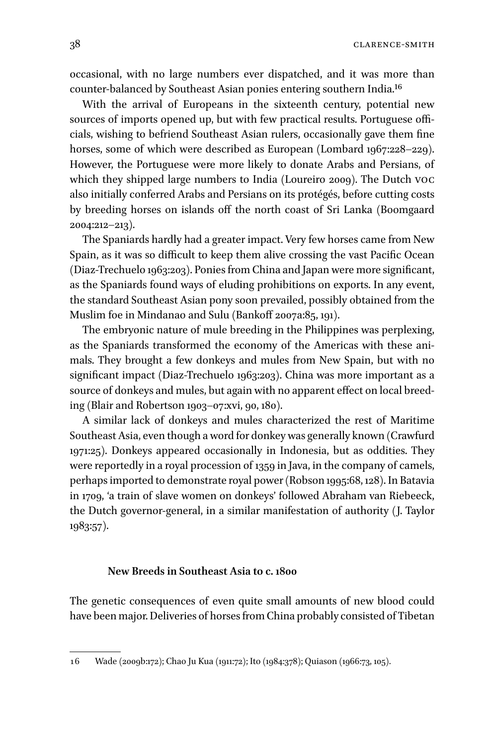occasional, with no large numbers ever dispatched, and it was more than counter-balanced by Southeast Asian ponies entering southern India.16

With the arrival of Europeans in the sixteenth century, potential new sources of imports opened up, but with few practical results. Portuguese officials, wishing to befriend Southeast Asian rulers, occasionally gave them fine horses, some of which were described as European (Lombard 1967:228–229). However, the Portuguese were more likely to donate Arabs and Persians, of which they shipped large numbers to India (Loureiro 2009). The Dutch voc also initially conferred Arabs and Persians on its protégés, before cutting costs by breeding horses on islands off the north coast of Sri Lanka (Boomgaard 2004:212–213).

The Spaniards hardly had a greater impact. Very few horses came from New Spain, as it was so difficult to keep them alive crossing the vast Pacific Ocean (Diaz-Trechuelo 1963:203). Ponies from China and Japan were more significant, as the Spaniards found ways of eluding prohibitions on exports. In any event, the standard Southeast Asian pony soon prevailed, possibly obtained from the Muslim foe in Mindanao and Sulu (Bankoff 2007a:85, 191).

The embryonic nature of mule breeding in the Philippines was perplexing, as the Spaniards transformed the economy of the Americas with these animals. They brought a few donkeys and mules from New Spain, but with no significant impact (Diaz-Trechuelo 1963:203). China was more important as a source of donkeys and mules, but again with no apparent effect on local breeding (Blair and Robertson 1903–07:xvi, 90, 180).

A similar lack of donkeys and mules characterized the rest of Maritime Southeast Asia, even though a word for donkey was generally known (Crawfurd 1971:25). Donkeys appeared occasionally in Indonesia, but as oddities. They were reportedly in a royal procession of 1359 in Java, in the company of camels, perhaps imported to demonstrate royal power (Robson 1995:68, 128). In Batavia in 1709, 'a train of slave women on donkeys' followed Abraham van Riebeeck, the Dutch governor-general, in a similar manifestation of authority (J. Taylor 1983:57).

### **New Breeds in Southeast Asia to c. 1800**

The genetic consequences of even quite small amounts of new blood could have been major. Deliveries of horses from China probably consisted of Tibetan

<sup>16</sup> Wade (2009b:172); Chao Ju Kua (1911:72); Ito (1984:378); Quiason (1966:73, 105).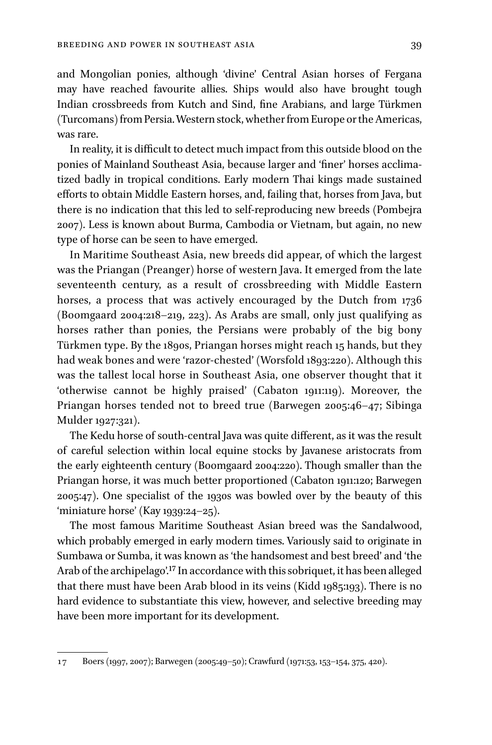and Mongolian ponies, although 'divine' Central Asian horses of Fergana may have reached favourite allies. Ships would also have brought tough Indian crossbreeds from Kutch and Sind, fine Arabians, and large Türkmen (Turcomans) from Persia. Western stock, whether from Europe or the Americas, was rare.

In reality, it is difficult to detect much impact from this outside blood on the ponies of Mainland Southeast Asia, because larger and 'finer' horses acclimatized badly in tropical conditions. Early modern Thai kings made sustained efforts to obtain Middle Eastern horses, and, failing that, horses from Java, but there is no indication that this led to self-reproducing new breeds (Pombejra 2007). Less is known about Burma, Cambodia or Vietnam, but again, no new type of horse can be seen to have emerged.

In Maritime Southeast Asia, new breeds did appear, of which the largest was the Priangan (Preanger) horse of western Java. It emerged from the late seventeenth century, as a result of crossbreeding with Middle Eastern horses, a process that was actively encouraged by the Dutch from 1736 (Boomgaard 2004:218–219, 223). As Arabs are small, only just qualifying as horses rather than ponies, the Persians were probably of the big bony Türkmen type. By the 1890s, Priangan horses might reach 15 hands, but they had weak bones and were 'razor-chested' (Worsfold 1893:220). Although this was the tallest local horse in Southeast Asia, one observer thought that it 'otherwise cannot be highly praised' (Cabaton 1911:119). Moreover, the Priangan horses tended not to breed true (Barwegen 2005:46–47; Sibinga Mulder 1927:321).

The Kedu horse of south-central Java was quite different, as it was the result of careful selection within local equine stocks by Javanese aristocrats from the early eighteenth century (Boomgaard 2004:220). Though smaller than the Priangan horse, it was much better proportioned (Cabaton 1911:120; Barwegen 2005:47). One specialist of the 1930s was bowled over by the beauty of this 'miniature horse' (Kay 1939:24–25).

The most famous Maritime Southeast Asian breed was the Sandalwood, which probably emerged in early modern times. Variously said to originate in Sumbawa or Sumba, it was known as 'the handsomest and best breed' and 'the Arab of the archipelago'.17 In accordance with this sobriquet, it has been alleged that there must have been Arab blood in its veins (Kidd 1985:193). There is no hard evidence to substantiate this view, however, and selective breeding may have been more important for its development.

<sup>17</sup> Boers (1997, 2007); Barwegen (2005:49–50); Crawfurd (1971:53, 153–154, 375, 420).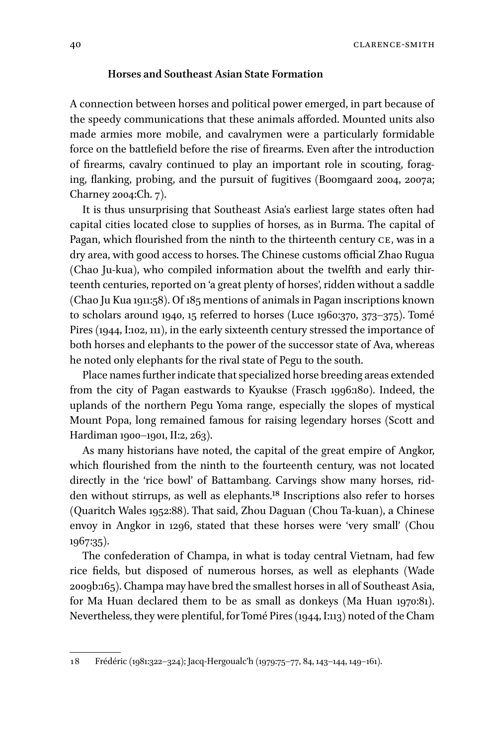40 Clarence-Smith

## **Horses and Southeast Asian State Formation**

A connection between horses and political power emerged, in part because of the speedy communications that these animals afforded. Mounted units also made armies more mobile, and cavalrymen were a particularly formidable force on the battlefield before the rise of firearms. Even after the introduction of firearms, cavalry continued to play an important role in scouting, foraging, flanking, probing, and the pursuit of fugitives (Boomgaard 2004, 2007a; Charney 2004:Ch. 7).

It is thus unsurprising that Southeast Asia's earliest large states often had capital cities located close to supplies of horses, as in Burma. The capital of Pagan, which flourished from the ninth to the thirteenth century CE, was in a dry area, with good access to horses. The Chinese customs official Zhao Rugua (Chao Ju-kua), who compiled information about the twelfth and early thirteenth centuries, reported on 'a great plenty of horses', ridden without a saddle (Chao Ju Kua 1911:58). Of 185 mentions of animals in Pagan inscriptions known to scholars around 1940, 15 referred to horses (Luce 1960:370, 373–375). Tomé Pires (1944, I:102, 111), in the early sixteenth century stressed the importance of both horses and elephants to the power of the successor state of Ava, whereas he noted only elephants for the rival state of Pegu to the south.

Place names further indicate that specialized horse breeding areas extended from the city of Pagan eastwards to Kyaukse (Frasch 1996:180). Indeed, the uplands of the northern Pegu Yoma range, especially the slopes of mystical Mount Popa, long remained famous for raising legendary horses (Scott and Hardiman 1900–1901, II:2, 263).

As many historians have noted, the capital of the great empire of Angkor, which flourished from the ninth to the fourteenth century, was not located directly in the 'rice bowl' of Battambang. Carvings show many horses, ridden without stirrups, as well as elephants.18 Inscriptions also refer to horses (Quaritch Wales 1952:88). That said, Zhou Daguan (Chou Ta-kuan), a Chinese envoy in Angkor in 1296, stated that these horses were 'very small' (Chou 1967:35).

The confederation of Champa, in what is today central Vietnam, had few rice fields, but disposed of numerous horses, as well as elephants (Wade 2009b:165). Champa may have bred the smallest horses in all of Southeast Asia, for Ma Huan declared them to be as small as donkeys (Ma Huan 1970:81). Nevertheless, they were plentiful, for Tomé Pires (1944, I:113) noted of the Cham

<sup>18</sup> Frédéric (1981:322–324); Jacq-Hergoualc'h (1979:75–77, 84, 143–144, 149–161).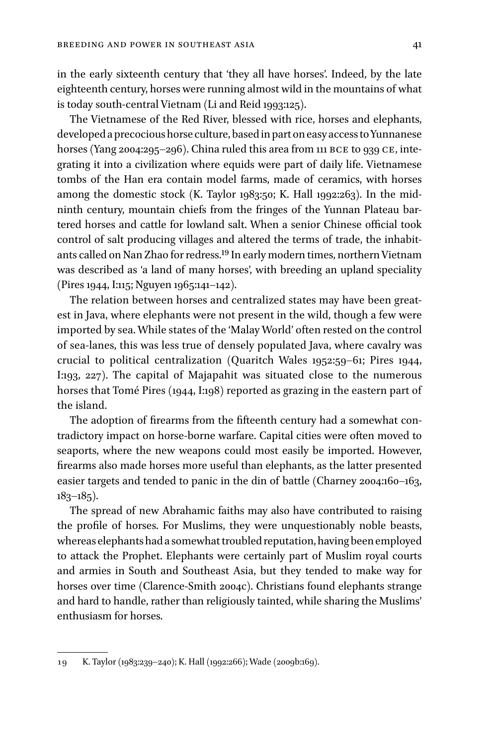in the early sixteenth century that 'they all have horses'. Indeed, by the late eighteenth century, horses were running almost wild in the mountains of what is today south-central Vietnam (Li and Reid 1993:125).

The Vietnamese of the Red River, blessed with rice, horses and elephants, developed a precocious horse culture, based in part on easy access to Yunnanese horses (Yang 2004:295-296). China ruled this area from 111 BCE to 939 CE, integrating it into a civilization where equids were part of daily life. Vietnamese tombs of the Han era contain model farms, made of ceramics, with horses among the domestic stock  $(K. Taylor\ 1983:50; K. Hall\ 1992:263)$ . In the midninth century, mountain chiefs from the fringes of the Yunnan Plateau bartered horses and cattle for lowland salt. When a senior Chinese official took control of salt producing villages and altered the terms of trade, the inhabitants called on Nan Zhao for redress.19 In early modern times, northern Vietnam was described as 'a land of many horses', with breeding an upland speciality (Pires 1944, I:115; Nguyen 1965:141–142).

The relation between horses and centralized states may have been greatest in Java, where elephants were not present in the wild, though a few were imported by sea. While states of the 'Malay World' often rested on the control of sea-lanes, this was less true of densely populated Java, where cavalry was crucial to political centralization (Quaritch Wales 1952:59–61; Pires 1944, I:193, 227). The capital of Majapahit was situated close to the numerous horses that Tomé Pires (1944, I:198) reported as grazing in the eastern part of the island.

The adoption of firearms from the fifteenth century had a somewhat contradictory impact on horse-borne warfare. Capital cities were often moved to seaports, where the new weapons could most easily be imported. However, firearms also made horses more useful than elephants, as the latter presented easier targets and tended to panic in the din of battle (Charney 2004:160–163,  $183-185$ ).

The spread of new Abrahamic faiths may also have contributed to raising the profile of horses. For Muslims, they were unquestionably noble beasts, whereas elephants had a somewhat troubled reputation, having been employed to attack the Prophet. Elephants were certainly part of Muslim royal courts and armies in South and Southeast Asia, but they tended to make way for horses over time (Clarence-Smith 2004c). Christians found elephants strange and hard to handle, rather than religiously tainted, while sharing the Muslims' enthusiasm for horses.

<sup>19</sup> K. Taylor (1983:239–240); K. Hall (1992:266); Wade (2009b:169).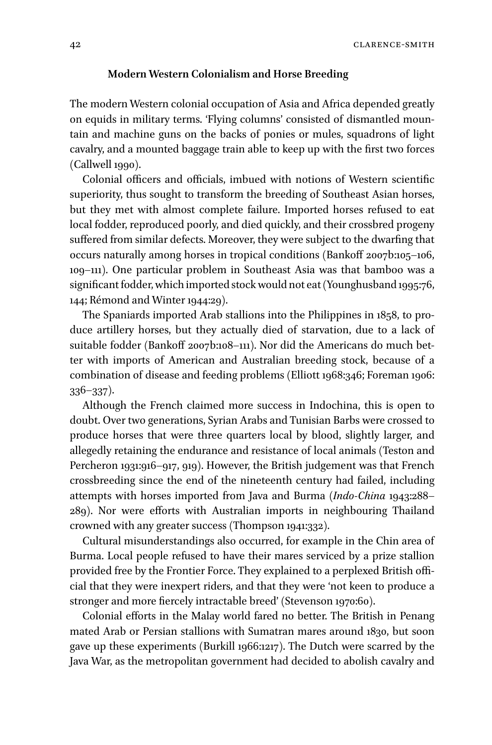42 Clarence-Smith

#### **Modern Western Colonialism and Horse Breeding**

The modern Western colonial occupation of Asia and Africa depended greatly on equids in military terms. 'Flying columns' consisted of dismantled mountain and machine guns on the backs of ponies or mules, squadrons of light cavalry, and a mounted baggage train able to keep up with the first two forces (Callwell 1990).

Colonial officers and officials, imbued with notions of Western scientific superiority, thus sought to transform the breeding of Southeast Asian horses, but they met with almost complete failure. Imported horses refused to eat local fodder, reproduced poorly, and died quickly, and their crossbred progeny suffered from similar defects. Moreover, they were subject to the dwarfing that occurs naturally among horses in tropical conditions (Bankoff 2007b:105–106, 109–111). One particular problem in Southeast Asia was that bamboo was a significant fodder, which imported stock would not eat (Younghusband 1995:76, 144; Rémond and Winter 1944:29).

The Spaniards imported Arab stallions into the Philippines in 1858, to produce artillery horses, but they actually died of starvation, due to a lack of suitable fodder (Bankoff 2007b:108-111). Nor did the Americans do much better with imports of American and Australian breeding stock, because of a combination of disease and feeding problems (Elliott 1968:346; Foreman 1906: 336–337).

Although the French claimed more success in Indochina, this is open to doubt. Over two generations, Syrian Arabs and Tunisian Barbs were crossed to produce horses that were three quarters local by blood, slightly larger, and allegedly retaining the endurance and resistance of local animals (Teston and Percheron 1931:916–917, 919). However, the British judgement was that French crossbreeding since the end of the nineteenth century had failed, including attempts with horses imported from Java and Burma (*Indo-China* 1943:288– 289). Nor were efforts with Australian imports in neighbouring Thailand crowned with any greater success (Thompson 1941:332).

Cultural misunderstandings also occurred, for example in the Chin area of Burma. Local people refused to have their mares serviced by a prize stallion provided free by the Frontier Force. They explained to a perplexed British official that they were inexpert riders, and that they were 'not keen to produce a stronger and more fiercely intractable breed' (Stevenson 1970:60).

Colonial efforts in the Malay world fared no better. The British in Penang mated Arab or Persian stallions with Sumatran mares around 1830, but soon gave up these experiments (Burkill 1966:1217). The Dutch were scarred by the Java War, as the metropolitan government had decided to abolish cavalry and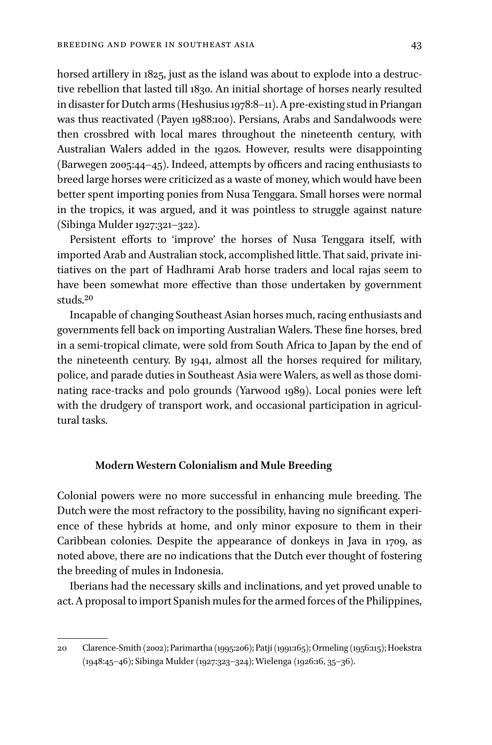horsed artillery in 1825, just as the island was about to explode into a destructive rebellion that lasted till 1830. An initial shortage of horses nearly resulted in disaster for Dutch arms (Heshusius 1978:8–11). A pre-existing stud in Priangan was thus reactivated (Payen 1988:100). Persians, Arabs and Sandalwoods were then crossbred with local mares throughout the nineteenth century, with Australian Walers added in the 1920s. However, results were disappointing (Barwegen 2005:44–45). Indeed, attempts by officers and racing enthusiasts to breed large horses were criticized as a waste of money, which would have been better spent importing ponies from Nusa Tenggara. Small horses were normal in the tropics, it was argued, and it was pointless to struggle against nature (Sibinga Mulder 1927:321–322).

Persistent efforts to 'improve' the horses of Nusa Tenggara itself, with imported Arab and Australian stock, accomplished little. That said, private initiatives on the part of Hadhrami Arab horse traders and local rajas seem to have been somewhat more effective than those undertaken by government studs.20

Incapable of changing Southeast Asian horses much, racing enthusiasts and governments fell back on importing Australian Walers. These fine horses, bred in a semi-tropical climate, were sold from South Africa to Japan by the end of the nineteenth century. By 1941, almost all the horses required for military, police, and parade duties in Southeast Asia were Walers, as well as those dominating race-tracks and polo grounds (Yarwood 1989). Local ponies were left with the drudgery of transport work, and occasional participation in agricultural tasks.

## **Modern Western Colonialism and Mule Breeding**

Colonial powers were no more successful in enhancing mule breeding. The Dutch were the most refractory to the possibility, having no significant experience of these hybrids at home, and only minor exposure to them in their Caribbean colonies. Despite the appearance of donkeys in Java in 1709, as noted above, there are no indications that the Dutch ever thought of fostering the breeding of mules in Indonesia.

Iberians had the necessary skills and inclinations, and yet proved unable to act. A proposal to import Spanish mules for the armed forces of the Philippines,

<sup>20</sup> Clarence-Smith (2002); Parimartha (1995:206); Patji (1991:165); Ormeling (1956:115); Hoekstra (1948:45–46); Sibinga Mulder (1927:323–324); Wielenga (1926:16, 35–36).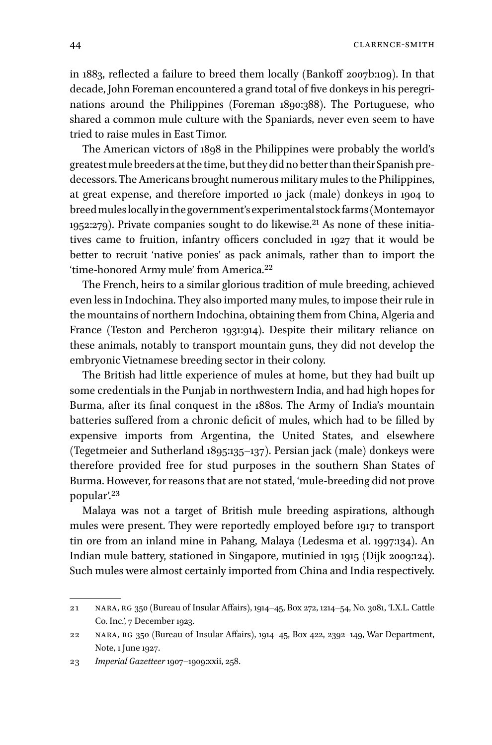in 1883, reflected a failure to breed them locally (Bankoff 2007b:109). In that decade, John Foreman encountered a grand total of five donkeys in his peregrinations around the Philippines (Foreman 1890:388). The Portuguese, who shared a common mule culture with the Spaniards, never even seem to have tried to raise mules in East Timor.

The American victors of 1898 in the Philippines were probably the world's greatest mule breeders at the time, but they did no better than their Spanish predecessors. The Americans brought numerous military mules to the Philippines, at great expense, and therefore imported 10 jack (male) donkeys in 1904 to breed mules locally in the government's experimental stock farms (Montemayor 1952:279). Private companies sought to do likewise.<sup>21</sup> As none of these initiatives came to fruition, infantry officers concluded in 1927 that it would be better to recruit 'native ponies' as pack animals, rather than to import the 'time-honored Army mule' from America.22

The French, heirs to a similar glorious tradition of mule breeding, achieved even less in Indochina. They also imported many mules, to impose their rule in the mountains of northern Indochina, obtaining them from China, Algeria and France (Teston and Percheron 1931:914). Despite their military reliance on these animals, notably to transport mountain guns, they did not develop the embryonic Vietnamese breeding sector in their colony.

The British had little experience of mules at home, but they had built up some credentials in the Punjab in northwestern India, and had high hopes for Burma, after its final conquest in the 1880s. The Army of India's mountain batteries suffered from a chronic deficit of mules, which had to be filled by expensive imports from Argentina, the United States, and elsewhere (Tegetmeier and Sutherland 1895:135–137). Persian jack (male) donkeys were therefore provided free for stud purposes in the southern Shan States of Burma. However, for reasons that are not stated, 'mule-breeding did not prove popular'.23

Malaya was not a target of British mule breeding aspirations, although mules were present. They were reportedly employed before 1917 to transport tin ore from an inland mine in Pahang, Malaya (Ledesma et al. 1997:134). An Indian mule battery, stationed in Singapore, mutinied in 1915 (Dijk 2009:124). Such mules were almost certainly imported from China and India respectively.

<sup>21</sup> nara, rg 350 (Bureau of Insular Affairs), 1914–45, Box 272, 1214–54, No. 3081, 'I.X.L. Cattle Co. Inc.', 7 December 1923.

<sup>22</sup> nara, rg 350 (Bureau of Insular Affairs), 1914–45, Box 422, 2392–149, War Department, Note, 1 June 1927.

<sup>23</sup> *Imperial Gazetteer* 1907–1909:xxii, 258.